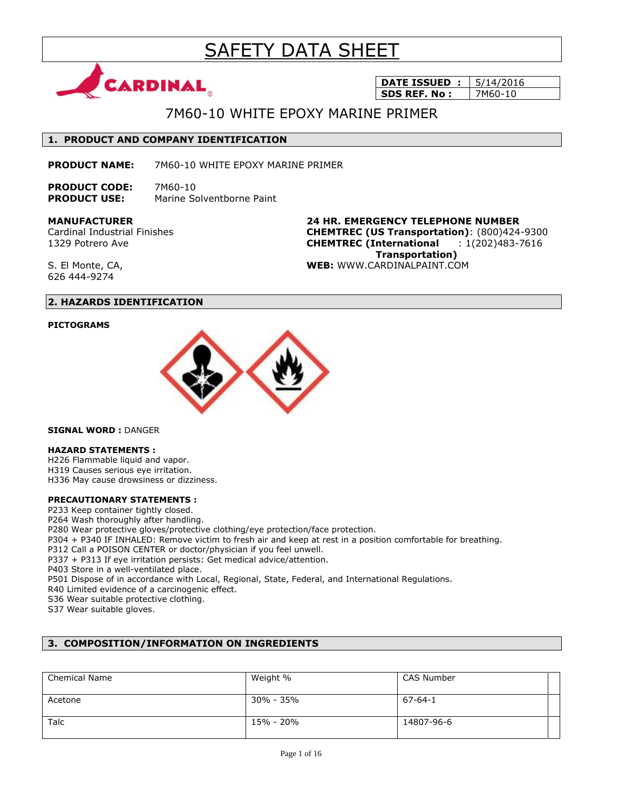# SAFETY DATA SHEET



**DATE ISSUED : 5/14/2016 SDS REF. No :** | 7M60-10

## 7M60-10 WHITE EPOXY MARINE PRIMER

### **1. PRODUCT AND COMPANY IDENTIFICATION**

**PRODUCT NAME:** 7M60-10 WHITE EPOXY MARINE PRIMER

**PRODUCT CODE:** 7M60-10 **PRODUCT USE:** Marine Solventborne Paint

**MANUFACTURER**

Cardinal Industrial Finishes 1329 Potrero Ave

**24 HR. EMERGENCY TELEPHONE NUMBER CHEMTREC (US Transportation)**: (800)424-9300 **CHEMTREC (International** : 1(202)483-7616  **Transportation) WEB:** WWW.CARDINALPAINT.COM

S. El Monte, CA, 626 444-9274

### **2. HAZARDS IDENTIFICATION**

### **PICTOGRAMS**



**SIGNAL WORD :** DANGER

### **HAZARD STATEMENTS :**

H226 Flammable liquid and vapor. H319 Causes serious eye irritation. H336 May cause drowsiness or dizziness.

### **PRECAUTIONARY STATEMENTS :**

P233 Keep container tightly closed.

P264 Wash thoroughly after handling.

P280 Wear protective gloves/protective clothing/eye protection/face protection.

P304 + P340 IF INHALED: Remove victim to fresh air and keep at rest in a position comfortable for breathing.

P312 Call a POISON CENTER or doctor/physician if you feel unwell.

P337 + P313 If eye irritation persists: Get medical advice/attention.

P403 Store in a well-ventilated place.

P501 Dispose of in accordance with Local, Regional, State, Federal, and International Regulations.

R40 Limited evidence of a carcinogenic effect.

S36 Wear suitable protective clothing.

S37 Wear suitable gloves.

### **3. COMPOSITION/INFORMATION ON INGREDIENTS**

| <b>Chemical Name</b> | Weight %  | CAS Number |
|----------------------|-----------|------------|
| Acetone              | 30% - 35% | 67-64-1    |
| Talc                 | 15% - 20% | 14807-96-6 |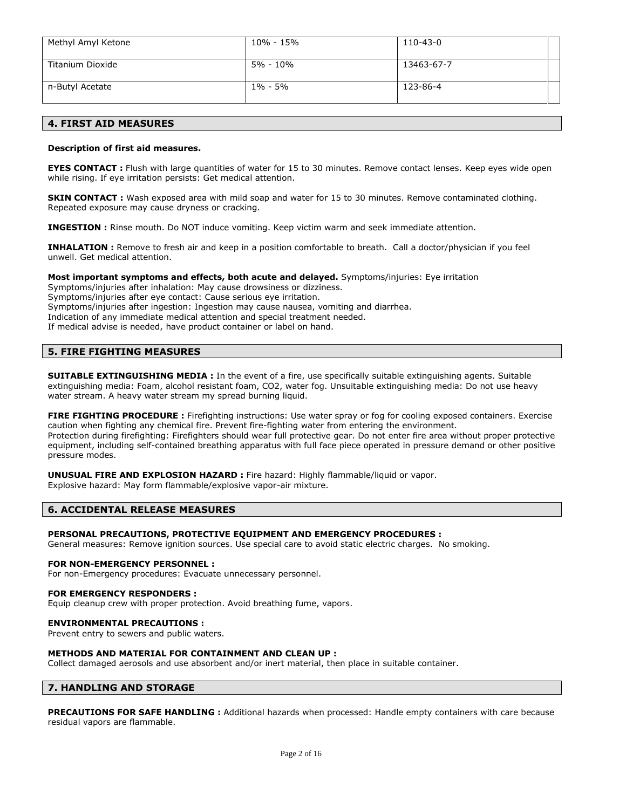| Methyl Amyl Ketone | 10% - 15%   | 110-43-0   |
|--------------------|-------------|------------|
|                    |             |            |
|                    |             |            |
| Titanium Dioxide   | 5% - 10%    | 13463-67-7 |
|                    |             |            |
|                    |             |            |
| n-Butyl Acetate    | $1\% - 5\%$ | 123-86-4   |
|                    |             |            |
|                    |             |            |

### **4. FIRST AID MEASURES**

### **Description of first aid measures.**

**EYES CONTACT** : Flush with large quantities of water for 15 to 30 minutes. Remove contact lenses. Keep eyes wide open while rising. If eye irritation persists: Get medical attention.

**SKIN CONTACT :** Wash exposed area with mild soap and water for 15 to 30 minutes. Remove contaminated clothing. Repeated exposure may cause dryness or cracking.

**INGESTION :** Rinse mouth. Do NOT induce vomiting. Keep victim warm and seek immediate attention.

**INHALATION :** Remove to fresh air and keep in a position comfortable to breath. Call a doctor/physician if you feel unwell. Get medical attention.

#### **Most important symptoms and effects, both acute and delayed.** Symptoms/injuries: Eye irritation

Symptoms/injuries after inhalation: May cause drowsiness or dizziness. Symptoms/injuries after eye contact: Cause serious eye irritation. Symptoms/injuries after ingestion: Ingestion may cause nausea, vomiting and diarrhea. Indication of any immediate medical attention and special treatment needed. If medical advise is needed, have product container or label on hand.

### **5. FIRE FIGHTING MEASURES**

**SUITABLE EXTINGUISHING MEDIA :** In the event of a fire, use specifically suitable extinguishing agents. Suitable extinguishing media: Foam, alcohol resistant foam, CO2, water fog. Unsuitable extinguishing media: Do not use heavy water stream. A heavy water stream my spread burning liquid.

**FIRE FIGHTING PROCEDURE :** Firefighting instructions: Use water spray or fog for cooling exposed containers. Exercise caution when fighting any chemical fire. Prevent fire-fighting water from entering the environment. Protection during firefighting: Firefighters should wear full protective gear. Do not enter fire area without proper protective equipment, including self-contained breathing apparatus with full face piece operated in pressure demand or other positive pressure modes.

**UNUSUAL FIRE AND EXPLOSION HAZARD :** Fire hazard: Highly flammable/liquid or vapor. Explosive hazard: May form flammable/explosive vapor-air mixture.

### **6. ACCIDENTAL RELEASE MEASURES**

### **PERSONAL PRECAUTIONS, PROTECTIVE EQUIPMENT AND EMERGENCY PROCEDURES :**

General measures: Remove ignition sources. Use special care to avoid static electric charges. No smoking.

#### **FOR NON-EMERGENCY PERSONNEL :**

For non-Emergency procedures: Evacuate unnecessary personnel.

#### **FOR EMERGENCY RESPONDERS :**

Equip cleanup crew with proper protection. Avoid breathing fume, vapors.

### **ENVIRONMENTAL PRECAUTIONS :**

Prevent entry to sewers and public waters.

### **METHODS AND MATERIAL FOR CONTAINMENT AND CLEAN UP :**

Collect damaged aerosols and use absorbent and/or inert material, then place in suitable container.

### **7. HANDLING AND STORAGE**

**PRECAUTIONS FOR SAFE HANDLING :** Additional hazards when processed: Handle empty containers with care because residual vapors are flammable.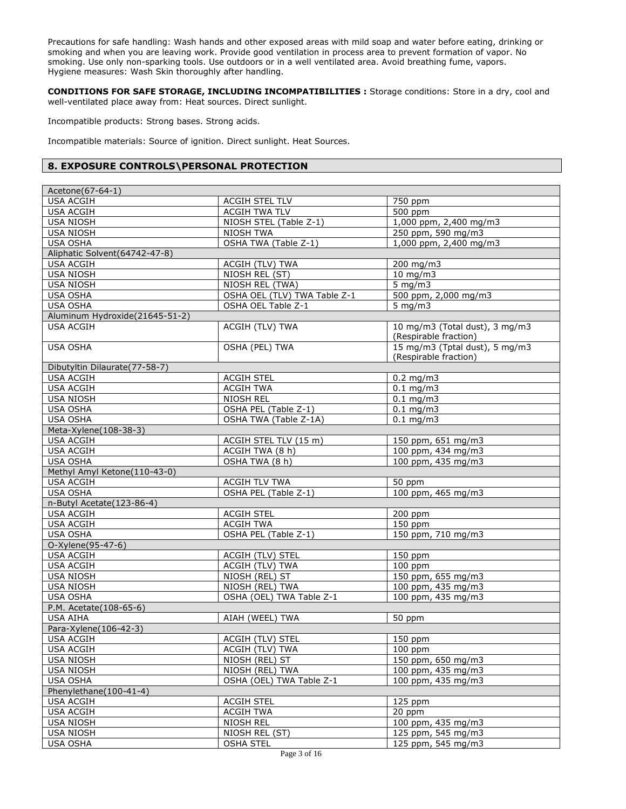Precautions for safe handling: Wash hands and other exposed areas with mild soap and water before eating, drinking or smoking and when you are leaving work. Provide good ventilation in process area to prevent formation of vapor. No smoking. Use only non-sparking tools. Use outdoors or in a well ventilated area. Avoid breathing fume, vapors. Hygiene measures: Wash Skin thoroughly after handling.

**CONDITIONS FOR SAFE STORAGE, INCLUDING INCOMPATIBILITIES :** Storage conditions: Store in a dry, cool and well-ventilated place away from: Heat sources. Direct sunlight.

Incompatible products: Strong bases. Strong acids.

Incompatible materials: Source of ignition. Direct sunlight. Heat Sources.

### **8. EXPOSURE CONTROLS\PERSONAL PROTECTION**

| Acetone(67-64-1)                                             |                                   |                                |  |
|--------------------------------------------------------------|-----------------------------------|--------------------------------|--|
| <b>USA ACGIH</b>                                             | ACGIH STEL TLV                    | 750 ppm                        |  |
| <b>USA ACGIH</b>                                             | <b>ACGIH TWA TLV</b>              | 500 ppm                        |  |
| <b>USA NIOSH</b>                                             | NIOSH STEL (Table Z-1)            | 1,000 ppm, 2,400 mg/m3         |  |
| <b>USA NIOSH</b>                                             | NIOSH TWA                         | 250 ppm, 590 mg/m3             |  |
| <b>USA OSHA</b>                                              | OSHA TWA (Table Z-1)              | 1,000 ppm, 2,400 mg/m3         |  |
| Aliphatic Solvent (64742-47-8)                               |                                   |                                |  |
| <b>USA ACGIH</b>                                             |                                   | 200 mg/m3                      |  |
| <b>USA NIOSH</b>                                             | ACGIH (TLV) TWA<br>NIOSH REL (ST) | $10$ mg/m3                     |  |
| <b>USA NIOSH</b>                                             |                                   | 5 mg/m $3$                     |  |
|                                                              | NIOSH REL (TWA)                   |                                |  |
| <b>USA OSHA</b>                                              | OSHA OEL (TLV) TWA Table Z-1      | 500 ppm, 2,000 mg/m3           |  |
| USA OSHA                                                     | OSHA OEL Table Z-1                | $5 \text{ mg/m}$               |  |
| Aluminum Hydroxide(21645-51-2)                               |                                   |                                |  |
| <b>USA ACGIH</b>                                             | ACGIH (TLV) TWA                   | 10 mg/m3 (Total dust), 3 mg/m3 |  |
|                                                              |                                   | (Respirable fraction)          |  |
| <b>USA OSHA</b>                                              | <b>OSHA (PEL) TWA</b>             | 15 mg/m3 (Tptal dust), 5 mg/m3 |  |
|                                                              |                                   | (Respirable fraction)          |  |
| Dibutyltin Dilaurate(77-58-7)                                |                                   |                                |  |
| <b>USA ACGIH</b>                                             | <b>ACGIH STEL</b>                 | $0.2$ mg/m3                    |  |
| <b>USA ACGIH</b>                                             | <b>ACGIH TWA</b>                  | $0.1$ mg/m3                    |  |
| <b>USA NIOSH</b>                                             | NIOSH REL                         | $0.1$ mg/m3                    |  |
| USA OSHA                                                     | OSHA PEL (Table Z-1)              | $0.1$ mg/m3                    |  |
| <b>USA OSHA</b>                                              | OSHA TWA (Table Z-1A)             | $0.1$ mg/m3                    |  |
| Meta-Xylene(108-38-3)                                        |                                   |                                |  |
| <b>USA ACGIH</b>                                             | ACGIH STEL TLV (15 m)             | 150 ppm, 651 mg/m3             |  |
| <b>USA ACGIH</b>                                             | ACGIH TWA (8 h)                   | 100 ppm, 434 mg/m3             |  |
| <b>USA OSHA</b>                                              | OSHA TWA (8 h)                    | 100 ppm, 435 mg/m3             |  |
| Methyl Amyl Ketone(110-43-0)                                 |                                   |                                |  |
| <b>USA ACGIH</b>                                             | <b>ACGIH TLV TWA</b>              | 50 ppm                         |  |
| <b>USA OSHA</b>                                              | OSHA PEL (Table Z-1)              | 100 ppm, 465 mg/m3             |  |
| n-Butyl Acetate(123-86-4)                                    |                                   |                                |  |
| <b>USA ACGIH</b>                                             | <b>ACGIH STEL</b>                 | 200 ppm                        |  |
| <b>USA ACGIH</b>                                             | <b>ACGIH TWA</b>                  | 150 ppm                        |  |
|                                                              |                                   | 150 ppm, 710 mg/m3             |  |
| OSHA PEL (Table Z-1)<br><b>USA OSHA</b><br>O-Xylene(95-47-6) |                                   |                                |  |
| <b>USA ACGIH</b>                                             |                                   | 150 ppm                        |  |
|                                                              | ACGIH (TLV) STEL                  |                                |  |
| <b>USA ACGIH</b>                                             | ACGIH (TLV) TWA                   | $100$ ppm                      |  |
| <b>USA NIOSH</b>                                             | NIOSH (REL) ST                    | 150 ppm, 655 mg/m3             |  |
| <b>USA NIOSH</b>                                             | NIOSH (REL) TWA                   | 100 ppm, 435 mg/m3             |  |
| <b>USA OSHA</b>                                              | OSHA (OEL) TWA Table Z-1          | 100 ppm, 435 mg/m3             |  |
| P.M. Acetate(108-65-6)                                       |                                   |                                |  |
| <b>USA AIHA</b>                                              | AIAH (WEEL) TWA                   | 50 ppm                         |  |
| Para-Xylene(106-42-3)                                        |                                   |                                |  |
| <b>USA ACGIH</b>                                             | ACGIH (TLV) STEL                  | $150$ ppm                      |  |
| <b>USA ACGIH</b>                                             | ACGIH (TLV) TWA                   | $100$ ppm                      |  |
| <b>USA NIOSH</b>                                             | NIOSH (REL) ST                    | 150 ppm, 650 mg/m3             |  |
| <b>USA NIOSH</b>                                             | NIOSH (REL) TWA                   | $100$ ppm, 435 mg/m3           |  |
| <b>USA OSHA</b>                                              | OSHA (OEL) TWA Table Z-1          | 100 ppm, 435 mg/m3             |  |
| Phenylethane(100-41-4)                                       |                                   |                                |  |
| <b>USA ACGIH</b>                                             | <b>ACGIH STEL</b>                 | 125 ppm                        |  |
| <b>USA ACGIH</b>                                             | <b>ACGIH TWA</b>                  | 20 ppm                         |  |
| <b>USA NIOSH</b>                                             | NIOSH REL                         | 100 ppm, 435 mg/m3             |  |
| <b>USA NIOSH</b>                                             | NIOSH REL (ST)                    | 125 ppm, 545 mg/m3             |  |
| <b>USA OSHA</b>                                              | <b>OSHA STEL</b>                  | 125 ppm, 545 mg/m3             |  |
|                                                              |                                   |                                |  |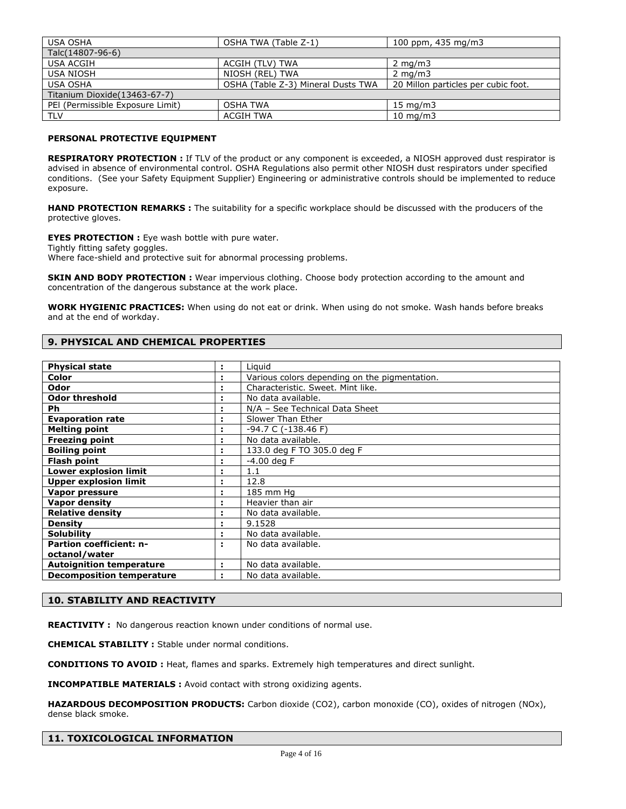| <b>USA OSHA</b>                  | OSHA TWA (Table Z-1)               | 100 ppm, $435 \text{ mg/m}$         |  |
|----------------------------------|------------------------------------|-------------------------------------|--|
| Talc(14807-96-6)                 |                                    |                                     |  |
| USA ACGIH                        | ACGIH (TLV) TWA                    | $2 \text{ mg/m}$                    |  |
| USA NIOSH                        | NIOSH (REL) TWA                    | $2 \text{ mg/m}$                    |  |
| <b>USA OSHA</b>                  | OSHA (Table Z-3) Mineral Dusts TWA | 20 Millon particles per cubic foot. |  |
| Titanium Dioxide (13463-67-7)    |                                    |                                     |  |
| PEI (Permissible Exposure Limit) | <b>OSHA TWA</b>                    | $15 \text{ mg/m}$                   |  |
| <b>TLV</b>                       | <b>ACGIH TWA</b>                   | $10 \text{ mg/m}$                   |  |

### **PERSONAL PROTECTIVE EQUIPMENT**

**RESPIRATORY PROTECTION :** If TLV of the product or any component is exceeded, a NIOSH approved dust respirator is advised in absence of environmental control. OSHA Regulations also permit other NIOSH dust respirators under specified conditions. (See your Safety Equipment Supplier) Engineering or administrative controls should be implemented to reduce exposure.

**HAND PROTECTION REMARKS :** The suitability for a specific workplace should be discussed with the producers of the protective gloves.

**EYES PROTECTION :** Eye wash bottle with pure water.

Tightly fitting safety goggles.

Where face-shield and protective suit for abnormal processing problems.

**SKIN AND BODY PROTECTION :** Wear impervious clothing. Choose body protection according to the amount and concentration of the dangerous substance at the work place.

**WORK HYGIENIC PRACTICES:** When using do not eat or drink. When using do not smoke. Wash hands before breaks and at the end of workday.

### **9. PHYSICAL AND CHEMICAL PROPERTIES**

| <b>Physical state</b>            | ÷.             | Liguid                                        |
|----------------------------------|----------------|-----------------------------------------------|
| Color                            | ÷.             | Various colors depending on the pigmentation. |
| Odor                             | ÷              | Characteristic. Sweet. Mint like.             |
| <b>Odor threshold</b>            | ÷              | No data available.                            |
| Ph                               | $\blacksquare$ | N/A - See Technical Data Sheet                |
| <b>Evaporation rate</b>          | ÷.             | Slower Than Ether                             |
| <b>Melting point</b>             | ÷              | $-94.7 C (-138.46 F)$                         |
| <b>Freezing point</b>            | ٠              | No data available.                            |
| <b>Boiling point</b>             | ÷              | 133.0 deg F TO 305.0 deg F                    |
| Flash point                      | ÷              | $-4.00$ deg F                                 |
| <b>Lower explosion limit</b>     |                | 1.1                                           |
| <b>Upper explosion limit</b>     |                | 12.8                                          |
| Vapor pressure                   | ÷              | 185 mm Hg                                     |
| <b>Vapor density</b>             |                | Heavier than air                              |
| <b>Relative density</b>          |                | No data available.                            |
| <b>Density</b>                   |                | 9.1528                                        |
| <b>Solubility</b>                | ÷              | No data available.                            |
| <b>Partion coefficient: n-</b>   | ÷              | No data available.                            |
| octanol/water                    |                |                                               |
| <b>Autoignition temperature</b>  | ÷.             | No data available.                            |
| <b>Decomposition temperature</b> | ÷              | No data available.                            |

### **10. STABILITY AND REACTIVITY**

**REACTIVITY :** No dangerous reaction known under conditions of normal use.

**CHEMICAL STABILITY :** Stable under normal conditions.

**CONDITIONS TO AVOID :** Heat, flames and sparks. Extremely high temperatures and direct sunlight.

**INCOMPATIBLE MATERIALS :** Avoid contact with strong oxidizing agents.

**HAZARDOUS DECOMPOSITION PRODUCTS:** Carbon dioxide (CO2), carbon monoxide (CO), oxides of nitrogen (NOx), dense black smoke.

| 11. TOXICOLOGICAL INFORMATION |  |
|-------------------------------|--|
|                               |  |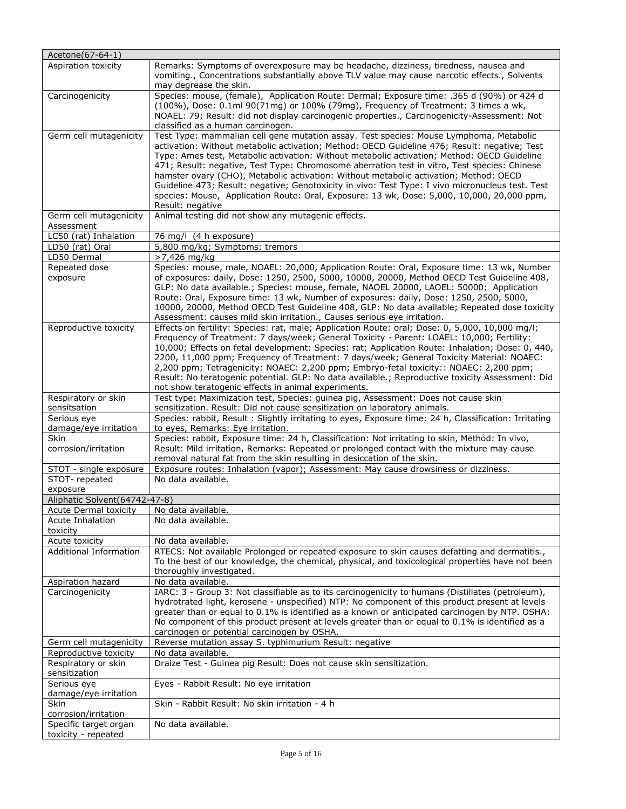| Acetone(67-64-1)                              |                                                                                                                                                                                                                                                                                                                                                                                                                                                                                                                                                                                                                                                                                                      |
|-----------------------------------------------|------------------------------------------------------------------------------------------------------------------------------------------------------------------------------------------------------------------------------------------------------------------------------------------------------------------------------------------------------------------------------------------------------------------------------------------------------------------------------------------------------------------------------------------------------------------------------------------------------------------------------------------------------------------------------------------------------|
| Aspiration toxicity                           | Remarks: Symptoms of overexposure may be headache, dizziness, tiredness, nausea and<br>vomiting., Concentrations substantially above TLV value may cause narcotic effects., Solvents<br>may degrease the skin.                                                                                                                                                                                                                                                                                                                                                                                                                                                                                       |
| Carcinogenicity                               | Species: mouse, (female), Application Route: Dermal; Exposure time: .365 d (90%) or 424 d<br>(100%), Dose: 0.1ml 90(71mg) or 100% (79mg), Frequency of Treatment: 3 times a wk,<br>NOAEL: 79; Result: did not display carcinogenic properties., Carcinogenicity-Assessment: Not<br>classified as a human carcinogen.                                                                                                                                                                                                                                                                                                                                                                                 |
| Germ cell mutagenicity                        | Test Type: mammalian cell gene mutation assay. Test species: Mouse Lymphoma, Metabolic<br>activation: Without metabolic activation; Method: OECD Guideline 476; Result: negative; Test<br>Type: Ames test, Metabolic activation: Without metabolic activation; Method: OECD Guideline<br>471; Result: negative, Test Type: Chromosome aberration test in vitro, Test species: Chinese<br>hamster ovary (CHO), Metabolic activation: Without metabolic activation; Method: OECD<br>Guideline 473; Result: negative; Genotoxicity in vivo: Test Type: I vivo micronucleus test. Test<br>species: Mouse, Application Route: Oral, Exposure: 13 wk, Dose: 5,000, 10,000, 20,000 ppm,<br>Result: negative |
| Germ cell mutagenicity<br>Assessment          | Animal testing did not show any mutagenic effects.                                                                                                                                                                                                                                                                                                                                                                                                                                                                                                                                                                                                                                                   |
| LC50 (rat) Inhalation                         | 76 mg/l (4 h exposure)                                                                                                                                                                                                                                                                                                                                                                                                                                                                                                                                                                                                                                                                               |
| LD50 (rat) Oral                               | 5,800 mg/kg; Symptoms: tremors                                                                                                                                                                                                                                                                                                                                                                                                                                                                                                                                                                                                                                                                       |
| LD50 Dermal                                   | >7,426 mg/kg                                                                                                                                                                                                                                                                                                                                                                                                                                                                                                                                                                                                                                                                                         |
| Repeated dose<br>exposure                     | Species: mouse, male, NOAEL: 20,000, Application Route: Oral, Exposure time: 13 wk, Number<br>of exposures: daily, Dose: 1250, 2500, 5000, 10000, 20000, Method OECD Test Guideline 408,<br>GLP: No data available.; Species: mouse, female, NAOEL 20000, LAOEL: 50000; Application<br>Route: Oral, Exposure time: 13 wk, Number of exposures: daily, Dose: 1250, 2500, 5000,<br>10000, 20000, Method OECD Test Guideline 408, GLP: No data available; Repeated dose toxicity<br>Assessment: causes mild skin irritation., Causes serious eye irritation.                                                                                                                                            |
| Reproductive toxicity                         | Effects on fertility: Species: rat, male; Application Route: oral; Dose: 0, 5,000, 10,000 mg/l;<br>Frequency of Treatment: 7 days/week; General Toxicity - Parent: LOAEL: 10,000; Fertility:<br>10,000; Effects on fetal development: Species: rat; Application Route: Inhalation; Dose: 0, 440,<br>2200, 11,000 ppm; Frequency of Treatment: 7 days/week; General Toxicity Material: NOAEC:<br>2,200 ppm; Tetragenicity: NOAEC: 2,200 ppm; Embryo-fetal toxicity:: NOAEC: 2,200 ppm;<br>Result: No teratogenic potential. GLP: No data available.; Reproductive toxicity Assessment: Did<br>not show teratogenic effects in animal experiments.                                                     |
| Respiratory or skin<br>sensitsation           | Test type: Maximization test, Species: guinea pig, Assessment: Does not cause skin<br>sensitization. Result: Did not cause sensitization on laboratory animals.                                                                                                                                                                                                                                                                                                                                                                                                                                                                                                                                      |
| Serious eye<br>damage/eye irritation          | Species: rabbit, Result: Slightly irritating to eyes, Exposure time: 24 h, Classification: Irritating<br>to eyes, Remarks: Eye irritation.                                                                                                                                                                                                                                                                                                                                                                                                                                                                                                                                                           |
| <b>Skin</b><br>corrosion/irritation           | Species: rabbit, Exposure time: 24 h, Classification: Not irritating to skin, Method: In vivo,<br>Result: Mild irritation, Remarks: Repeated or prolonged contact with the mixture may cause<br>removal natural fat from the skin resulting in desiccation of the skin.                                                                                                                                                                                                                                                                                                                                                                                                                              |
| STOT - single exposure                        | Exposure routes: Inhalation (vapor); Assessment: May cause drowsiness or dizziness.                                                                                                                                                                                                                                                                                                                                                                                                                                                                                                                                                                                                                  |
| STOT-repeated<br>exposure                     | No data available.                                                                                                                                                                                                                                                                                                                                                                                                                                                                                                                                                                                                                                                                                   |
| Aliphatic Solvent (64742-47-8)                |                                                                                                                                                                                                                                                                                                                                                                                                                                                                                                                                                                                                                                                                                                      |
| <b>Acute Dermal toxicity</b>                  | No data available.                                                                                                                                                                                                                                                                                                                                                                                                                                                                                                                                                                                                                                                                                   |
| Acute Inhalation<br>toxicity                  | No data available.                                                                                                                                                                                                                                                                                                                                                                                                                                                                                                                                                                                                                                                                                   |
| Acute toxicity                                | No data available.                                                                                                                                                                                                                                                                                                                                                                                                                                                                                                                                                                                                                                                                                   |
| <b>Additional Information</b>                 | RTECS: Not available Prolonged or repeated exposure to skin causes defatting and dermatitis.,<br>To the best of our knowledge, the chemical, physical, and toxicological properties have not been<br>thoroughly investigated.                                                                                                                                                                                                                                                                                                                                                                                                                                                                        |
| <b>Aspiration hazard</b>                      | No data available.                                                                                                                                                                                                                                                                                                                                                                                                                                                                                                                                                                                                                                                                                   |
| Carcinogenicity                               | IARC: 3 - Group 3: Not classifiable as to its carcinogenicity to humans (Distillates (petroleum),<br>hydrotrated light, kerosene - unspecified) NTP: No component of this product present at levels<br>greater than or equal to 0.1% is identified as a known or anticipated carcinogen by NTP. OSHA:<br>No component of this product present at levels greater than or equal to 0.1% is identified as a<br>carcinogen or potential carcinogen by OSHA.                                                                                                                                                                                                                                              |
| Germ cell mutagenicity                        | Reverse mutation assay S. typhimurium Result: negative                                                                                                                                                                                                                                                                                                                                                                                                                                                                                                                                                                                                                                               |
| Reproductive toxicity<br>Respiratory or skin  | No data available.<br>Draize Test - Guinea pig Result: Does not cause skin sensitization.                                                                                                                                                                                                                                                                                                                                                                                                                                                                                                                                                                                                            |
| sensitization<br>Serious eye                  | Eyes - Rabbit Result: No eye irritation                                                                                                                                                                                                                                                                                                                                                                                                                                                                                                                                                                                                                                                              |
| damage/eye irritation<br><b>Skin</b>          | Skin - Rabbit Result: No skin irritation - 4 h                                                                                                                                                                                                                                                                                                                                                                                                                                                                                                                                                                                                                                                       |
| corrosion/irritation<br>Specific target organ | No data available.                                                                                                                                                                                                                                                                                                                                                                                                                                                                                                                                                                                                                                                                                   |
| toxicity - repeated                           |                                                                                                                                                                                                                                                                                                                                                                                                                                                                                                                                                                                                                                                                                                      |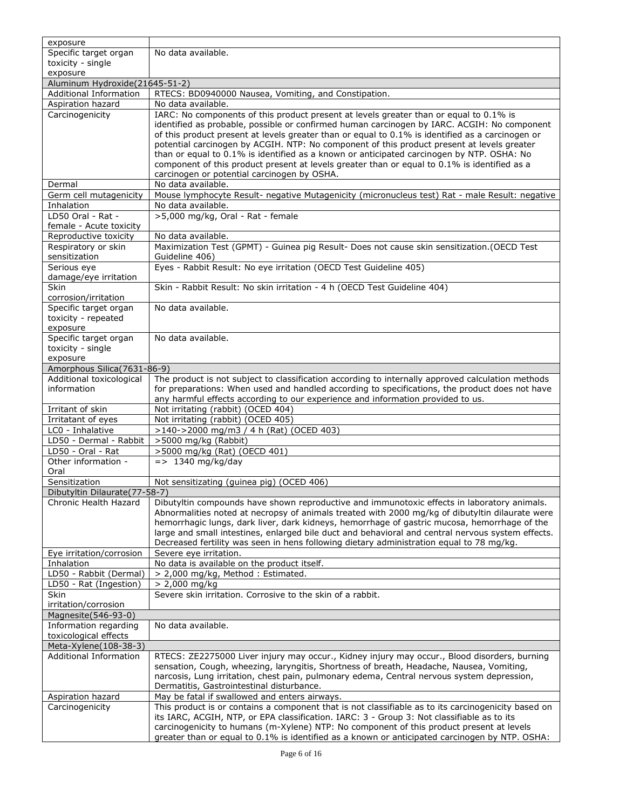| exposure                                    |                                                                                                                                                                                                 |
|---------------------------------------------|-------------------------------------------------------------------------------------------------------------------------------------------------------------------------------------------------|
| Specific target organ                       | No data available.                                                                                                                                                                              |
| toxicity - single                           |                                                                                                                                                                                                 |
| exposure                                    |                                                                                                                                                                                                 |
| Aluminum Hydroxide(21645-51-2)              |                                                                                                                                                                                                 |
| <b>Additional Information</b>               | RTECS: BD0940000 Nausea, Vomiting, and Constipation.                                                                                                                                            |
| Aspiration hazard                           | No data available.                                                                                                                                                                              |
| Carcinogenicity                             | IARC: No components of this product present at levels greater than or equal to 0.1% is                                                                                                          |
|                                             | identified as probable, possible or confirmed human carcinogen by IARC. ACGIH: No component<br>of this product present at levels greater than or equal to 0.1% is identified as a carcinogen or |
|                                             | potential carcinogen by ACGIH. NTP: No component of this product present at levels greater                                                                                                      |
|                                             | than or equal to 0.1% is identified as a known or anticipated carcinogen by NTP. OSHA: No                                                                                                       |
|                                             | component of this product present at levels greater than or equal to 0.1% is identified as a                                                                                                    |
|                                             | carcinogen or potential carcinogen by OSHA.                                                                                                                                                     |
| Dermal                                      | No data available.                                                                                                                                                                              |
| Germ cell mutagenicity                      | Mouse lymphocyte Result- negative Mutagenicity (micronucleus test) Rat - male Result: negative                                                                                                  |
| Inhalation                                  | No data available.                                                                                                                                                                              |
| LD50 Oral - Rat -                           | >5,000 mg/kg, Oral - Rat - female                                                                                                                                                               |
| female - Acute toxicity                     |                                                                                                                                                                                                 |
| Reproductive toxicity                       | No data available.                                                                                                                                                                              |
| Respiratory or skin                         | Maximization Test (GPMT) - Guinea pig Result- Does not cause skin sensitization. (OECD Test                                                                                                     |
| sensitization                               | Guideline 406)                                                                                                                                                                                  |
| Serious eye                                 | Eyes - Rabbit Result: No eye irritation (OECD Test Guideline 405)                                                                                                                               |
| damage/eye irritation<br>Skin               | Skin - Rabbit Result: No skin irritation - 4 h (OECD Test Guideline 404)                                                                                                                        |
| corrosion/irritation                        |                                                                                                                                                                                                 |
| Specific target organ                       | No data available.                                                                                                                                                                              |
| toxicity - repeated                         |                                                                                                                                                                                                 |
| exposure                                    |                                                                                                                                                                                                 |
| Specific target organ                       | No data available.                                                                                                                                                                              |
| toxicity - single                           |                                                                                                                                                                                                 |
| exposure                                    |                                                                                                                                                                                                 |
| Amorphous Silica(7631-86-9)                 |                                                                                                                                                                                                 |
| Additional toxicological                    | The product is not subject to classification according to internally approved calculation methods                                                                                               |
| information                                 | for preparations: When used and handled according to specifications, the product does not have                                                                                                  |
|                                             | any harmful effects according to our experience and information provided to us.                                                                                                                 |
| Irritant of skin                            | Not irritating (rabbit) (OCED 404)                                                                                                                                                              |
| Irritatant of eyes                          | Not irritating (rabbit) (OCED 405)                                                                                                                                                              |
| LC0 - Inhalative                            | >140->2000 mg/m3 / 4 h (Rat) (OCED 403)                                                                                                                                                         |
| LD50 - Dermal - Rabbit                      | >5000 mg/kg (Rabbit)                                                                                                                                                                            |
| LD50 - Oral - Rat<br>Other information -    | >5000 mg/kg (Rat) (OECD 401)<br>$=$ > 1340 mg/kg/day                                                                                                                                            |
| Oral                                        |                                                                                                                                                                                                 |
| Sensitization                               | Not sensitizating (guinea pig) (OCED 406)                                                                                                                                                       |
| Dibutyltin Dilaurate(77-58-7)               |                                                                                                                                                                                                 |
| Chronic Health Hazard                       | Dibutyltin compounds have shown reproductive and immunotoxic effects in laboratory animals.                                                                                                     |
|                                             | Abnormalities noted at necropsy of animals treated with 2000 mg/kg of dibutyltin dilaurate were                                                                                                 |
|                                             | hemorrhagic lungs, dark liver, dark kidneys, hemorrhage of gastric mucosa, hemorrhage of the                                                                                                    |
|                                             | large and small intestines, enlarged bile duct and behavioral and central nervous system effects.                                                                                               |
|                                             | Decreased fertility was seen in hens following dietary administration equal to 78 mg/kg.                                                                                                        |
| Eye irritation/corrosion                    | Severe eye irritation.                                                                                                                                                                          |
| Inhalation                                  | No data is available on the product itself.                                                                                                                                                     |
| LD50 - Rabbit (Dermal)                      | > 2,000 mg/kg, Method: Estimated.                                                                                                                                                               |
| LD50 - Rat (Ingestion)                      | > 2,000 mg/kg                                                                                                                                                                                   |
| Skin                                        | Severe skin irritation. Corrosive to the skin of a rabbit.                                                                                                                                      |
| irritation/corrosion<br>Magnesite(546-93-0) |                                                                                                                                                                                                 |
| Information regarding                       | No data available.                                                                                                                                                                              |
| toxicological effects                       |                                                                                                                                                                                                 |
| Meta-Xylene(108-38-3)                       |                                                                                                                                                                                                 |
| <b>Additional Information</b>               | RTECS: ZE2275000 Liver injury may occur., Kidney injury may occur., Blood disorders, burning                                                                                                    |
|                                             | sensation, Cough, wheezing, laryngitis, Shortness of breath, Headache, Nausea, Vomiting,                                                                                                        |
|                                             | narcosis, Lung irritation, chest pain, pulmonary edema, Central nervous system depression,                                                                                                      |
|                                             | Dermatitis, Gastrointestinal disturbance.                                                                                                                                                       |
| Aspiration hazard                           | May be fatal if swallowed and enters airways.                                                                                                                                                   |
| Carcinogenicity                             | This product is or contains a component that is not classifiable as to its carcinogenicity based on                                                                                             |
|                                             | its IARC, ACGIH, NTP, or EPA classification. IARC: 3 - Group 3: Not classifiable as to its                                                                                                      |
|                                             | carcinogenicity to humans (m-Xylene) NTP: No component of this product present at levels                                                                                                        |
|                                             | greater than or equal to 0.1% is identified as a known or anticipated carcinogen by NTP. OSHA:                                                                                                  |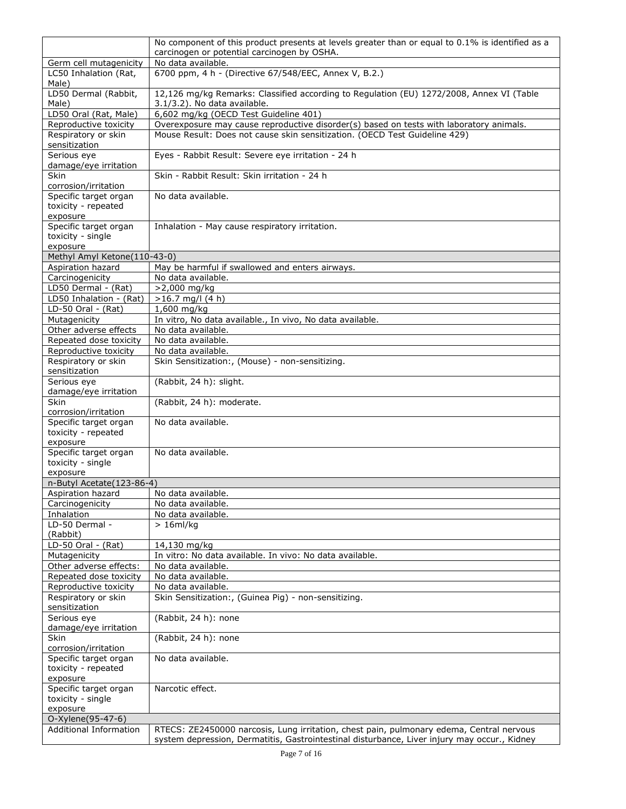|                                                 | No component of this product presents at levels greater than or equal to 0.1% is identified as a                         |
|-------------------------------------------------|--------------------------------------------------------------------------------------------------------------------------|
|                                                 | carcinogen or potential carcinogen by OSHA.                                                                              |
| Germ cell mutagenicity<br>LC50 Inhalation (Rat, | No data available.<br>6700 ppm, 4 h - (Directive 67/548/EEC, Annex V, B.2.)                                              |
| Male)                                           |                                                                                                                          |
| LD50 Dermal (Rabbit,<br>Male)                   | 12,126 mg/kg Remarks: Classified according to Regulation (EU) 1272/2008, Annex VI (Table<br>3.1/3.2). No data available. |
| LD50 Oral (Rat, Male)                           | 6,602 mg/kg (OECD Test Guideline 401)                                                                                    |
| Reproductive toxicity                           | Overexposure may cause reproductive disorder(s) based on tests with laboratory animals.                                  |
| Respiratory or skin                             | Mouse Result: Does not cause skin sensitization. (OECD Test Guideline 429)                                               |
| sensitization<br>Serious eye                    | Eyes - Rabbit Result: Severe eye irritation - 24 h                                                                       |
| damage/eye irritation                           |                                                                                                                          |
| <b>Skin</b>                                     | Skin - Rabbit Result: Skin irritation - 24 h                                                                             |
| corrosion/irritation                            |                                                                                                                          |
| Specific target organ<br>toxicity - repeated    | No data available.                                                                                                       |
| exposure                                        |                                                                                                                          |
| Specific target organ                           | Inhalation - May cause respiratory irritation.                                                                           |
| toxicity - single                               |                                                                                                                          |
| exposure<br>Methyl Amyl Ketone(110-43-0)        |                                                                                                                          |
| Aspiration hazard                               | May be harmful if swallowed and enters airways.                                                                          |
| Carcinogenicity                                 | No data available.                                                                                                       |
| LD50 Dermal - (Rat)                             | >2,000 mg/kg                                                                                                             |
| LD50 Inhalation - (Rat)                         | $>16.7$ mg/l (4 h)                                                                                                       |
| LD-50 Oral - (Rat)                              | 1,600 mg/kg                                                                                                              |
| Mutagenicity                                    | In vitro, No data available., In vivo, No data available.                                                                |
| Other adverse effects<br>Repeated dose toxicity | No data available.<br>No data available.                                                                                 |
| Reproductive toxicity                           | No data available.                                                                                                       |
| Respiratory or skin                             | Skin Sensitization:, (Mouse) - non-sensitizing.                                                                          |
| sensitization                                   |                                                                                                                          |
| Serious eye                                     | (Rabbit, 24 h): slight.                                                                                                  |
| damage/eye irritation<br>Skin                   | (Rabbit, 24 h): moderate.                                                                                                |
| corrosion/irritation                            |                                                                                                                          |
| Specific target organ                           | No data available.                                                                                                       |
| toxicity - repeated                             |                                                                                                                          |
| exposure                                        | No data available.                                                                                                       |
| Specific target organ<br>toxicity - single      |                                                                                                                          |
| exposure                                        |                                                                                                                          |
| n-Butyl Acetate(123-86-4)                       |                                                                                                                          |
| Aspiration hazard                               | No data available.                                                                                                       |
| Carcinogenicity                                 | No data available.                                                                                                       |
| Inhalation<br>LD-50 Dermal -                    | No data available.<br>$> 16$ ml/kg                                                                                       |
| (Rabbit)                                        |                                                                                                                          |
| LD-50 Oral - (Rat)                              | 14,130 mg/kg                                                                                                             |
| Mutagenicity                                    | In vitro: No data available. In vivo: No data available.                                                                 |
| Other adverse effects:                          | No data available.                                                                                                       |
| Repeated dose toxicity<br>Reproductive toxicity | No data available.<br>No data available.                                                                                 |
| Respiratory or skin                             | Skin Sensitization:, (Guinea Pig) - non-sensitizing.                                                                     |
| sensitization                                   |                                                                                                                          |
| Serious eye                                     | (Rabbit, 24 h): none                                                                                                     |
| damage/eye irritation                           |                                                                                                                          |
| Skin<br>corrosion/irritation                    | (Rabbit, 24 h): none                                                                                                     |
| Specific target organ                           | No data available.                                                                                                       |
| toxicity - repeated                             |                                                                                                                          |
| exposure                                        |                                                                                                                          |
| Specific target organ                           | Narcotic effect.                                                                                                         |
| toxicity - single<br>exposure                   |                                                                                                                          |
| O-Xylene(95-47-6)                               |                                                                                                                          |
| <b>Additional Information</b>                   | RTECS: ZE2450000 narcosis, Lung irritation, chest pain, pulmonary edema, Central nervous                                 |
|                                                 | system depression, Dermatitis, Gastrointestinal disturbance, Liver injury may occur., Kidney                             |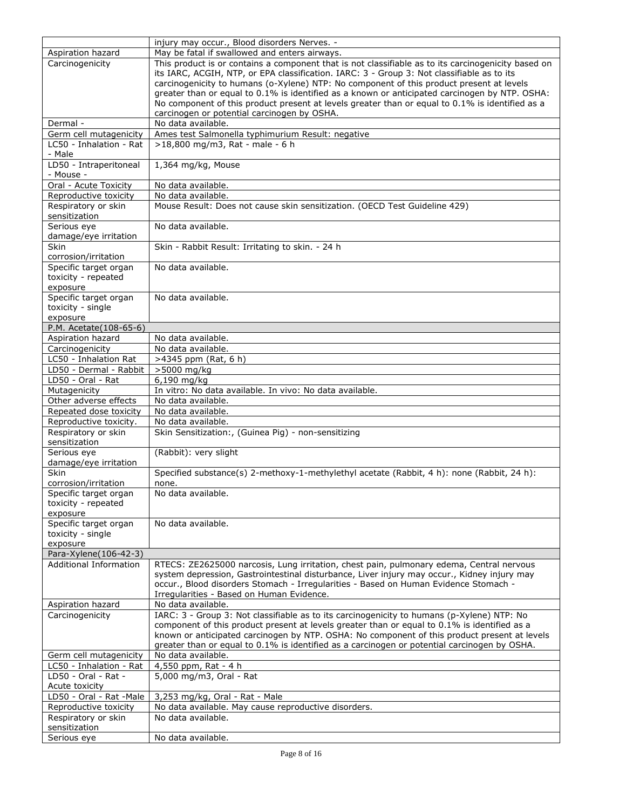|                                                        | injury may occur., Blood disorders Nerves. -                                                                                                                                            |
|--------------------------------------------------------|-----------------------------------------------------------------------------------------------------------------------------------------------------------------------------------------|
| Aspiration hazard                                      | May be fatal if swallowed and enters airways.                                                                                                                                           |
| Carcinogenicity                                        | This product is or contains a component that is not classifiable as to its carcinogenicity based on                                                                                     |
|                                                        | its IARC, ACGIH, NTP, or EPA classification. IARC: 3 - Group 3: Not classifiable as to its                                                                                              |
|                                                        | carcinogenicity to humans (o-Xylene) NTP: No component of this product present at levels                                                                                                |
|                                                        | greater than or equal to 0.1% is identified as a known or anticipated carcinogen by NTP. OSHA:                                                                                          |
|                                                        | No component of this product present at levels greater than or equal to 0.1% is identified as a                                                                                         |
|                                                        | carcinogen or potential carcinogen by OSHA.<br>No data available.                                                                                                                       |
| Dermal -                                               | Ames test Salmonella typhimurium Result: negative                                                                                                                                       |
| Germ cell mutagenicity<br>LC50 - Inhalation - Rat      | >18,800 mg/m3, Rat - male - 6 h                                                                                                                                                         |
| - Male                                                 |                                                                                                                                                                                         |
| LD50 - Intraperitoneal                                 | 1,364 mg/kg, Mouse                                                                                                                                                                      |
| - Mouse -                                              |                                                                                                                                                                                         |
| Oral - Acute Toxicity                                  | No data available.                                                                                                                                                                      |
| Reproductive toxicity                                  | No data available.                                                                                                                                                                      |
| Respiratory or skin                                    | Mouse Result: Does not cause skin sensitization. (OECD Test Guideline 429)                                                                                                              |
| sensitization                                          |                                                                                                                                                                                         |
| Serious eye                                            | No data available.                                                                                                                                                                      |
| damage/eye irritation                                  |                                                                                                                                                                                         |
| Skin                                                   | Skin - Rabbit Result: Irritating to skin. - 24 h                                                                                                                                        |
| corrosion/irritation                                   | No data available.                                                                                                                                                                      |
| Specific target organ<br>toxicity - repeated           |                                                                                                                                                                                         |
| exposure                                               |                                                                                                                                                                                         |
| Specific target organ                                  | No data available.                                                                                                                                                                      |
| toxicity - single                                      |                                                                                                                                                                                         |
| exposure                                               |                                                                                                                                                                                         |
| P.M. Acetate(108-65-6)                                 |                                                                                                                                                                                         |
| Aspiration hazard                                      | No data available.                                                                                                                                                                      |
| Carcinogenicity                                        | No data available.                                                                                                                                                                      |
| LC50 - Inhalation Rat                                  | >4345 ppm (Rat, 6 h)                                                                                                                                                                    |
| LD50 - Dermal - Rabbit                                 | >5000 mg/kg                                                                                                                                                                             |
| LD50 - Oral - Rat                                      | 6,190 mg/kg                                                                                                                                                                             |
| Mutagenicity                                           | In vitro: No data available. In vivo: No data available.                                                                                                                                |
| Other adverse effects                                  | No data available.                                                                                                                                                                      |
| Repeated dose toxicity                                 | No data available.                                                                                                                                                                      |
| Reproductive toxicity.                                 | No data available.                                                                                                                                                                      |
| Respiratory or skin<br>sensitization                   | Skin Sensitization:, (Guinea Pig) - non-sensitizing                                                                                                                                     |
| Serious eye                                            | (Rabbit): very slight                                                                                                                                                                   |
| damage/eye irritation                                  |                                                                                                                                                                                         |
| Skin                                                   | Specified substance(s) 2-methoxy-1-methylethyl acetate (Rabbit, 4 h): none (Rabbit, 24 h):                                                                                              |
| corrosion/irritation                                   | none.                                                                                                                                                                                   |
| Specific target organ                                  | No data available.                                                                                                                                                                      |
| toxicity - repeated                                    |                                                                                                                                                                                         |
| exposure                                               |                                                                                                                                                                                         |
| Specific target organ                                  | No data available.                                                                                                                                                                      |
| toxicity - single                                      |                                                                                                                                                                                         |
| exposure                                               |                                                                                                                                                                                         |
| Para-Xylene(106-42-3)<br><b>Additional Information</b> |                                                                                                                                                                                         |
|                                                        | RTECS: ZE2625000 narcosis, Lung irritation, chest pain, pulmonary edema, Central nervous<br>system depression, Gastrointestinal disturbance, Liver injury may occur., Kidney injury may |
|                                                        | occur., Blood disorders Stomach - Irregularities - Based on Human Evidence Stomach -                                                                                                    |
|                                                        | Irregularities - Based on Human Evidence.                                                                                                                                               |
| Aspiration hazard                                      | No data available.                                                                                                                                                                      |
| Carcinogenicity                                        | IARC: 3 - Group 3: Not classifiable as to its carcinogenicity to humans (p-Xylene) NTP: No                                                                                              |
|                                                        | component of this product present at levels greater than or equal to 0.1% is identified as a                                                                                            |
|                                                        | known or anticipated carcinogen by NTP. OSHA: No component of this product present at levels                                                                                            |
|                                                        | greater than or equal to 0.1% is identified as a carcinogen or potential carcinogen by OSHA.                                                                                            |
| Germ cell mutagenicity                                 | No data available.                                                                                                                                                                      |
| LC50 - Inhalation - Rat                                | 4,550 ppm, Rat - 4 h                                                                                                                                                                    |
| LD50 - Oral - Rat -                                    | 5,000 mg/m3, Oral - Rat                                                                                                                                                                 |
| Acute toxicity                                         |                                                                                                                                                                                         |
| LD50 - Oral - Rat -Male                                | 3,253 mg/kg, Oral - Rat - Male                                                                                                                                                          |
| Reproductive toxicity                                  | No data available. May cause reproductive disorders.                                                                                                                                    |
| Respiratory or skin<br>sensitization                   | No data available.                                                                                                                                                                      |
| Serious eye                                            | No data available.                                                                                                                                                                      |
|                                                        |                                                                                                                                                                                         |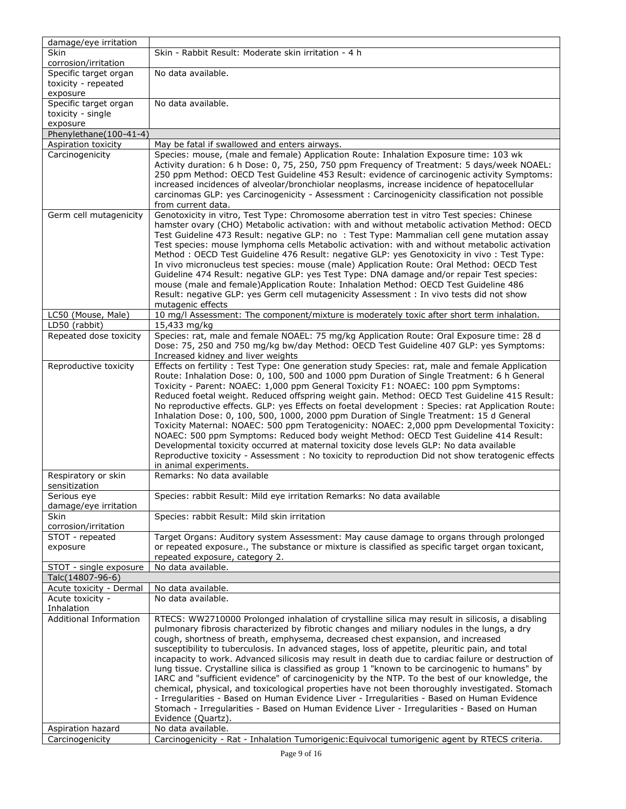| damage/eye irritation                      |                                                                                                                                                                                                    |
|--------------------------------------------|----------------------------------------------------------------------------------------------------------------------------------------------------------------------------------------------------|
| <b>Skin</b>                                | Skin - Rabbit Result: Moderate skin irritation - 4 h                                                                                                                                               |
| corrosion/irritation                       |                                                                                                                                                                                                    |
| Specific target organ                      | No data available.                                                                                                                                                                                 |
| toxicity - repeated                        |                                                                                                                                                                                                    |
| exposure<br>Specific target organ          | No data available.                                                                                                                                                                                 |
| toxicity - single                          |                                                                                                                                                                                                    |
| exposure                                   |                                                                                                                                                                                                    |
| Phenylethane(100-41-4)                     |                                                                                                                                                                                                    |
| Aspiration toxicity                        | May be fatal if swallowed and enters airways.                                                                                                                                                      |
| Carcinogenicity                            | Species: mouse, (male and female) Application Route: Inhalation Exposure time: 103 wk                                                                                                              |
|                                            | Activity duration: 6 h Dose: 0, 75, 250, 750 ppm Frequency of Treatment: 5 days/week NOAEL:                                                                                                        |
|                                            | 250 ppm Method: OECD Test Guideline 453 Result: evidence of carcinogenic activity Symptoms:                                                                                                        |
|                                            | increased incidences of alveolar/bronchiolar neoplasms, increase incidence of hepatocellular                                                                                                       |
|                                            | carcinomas GLP: yes Carcinogenicity - Assessment : Carcinogenicity classification not possible                                                                                                     |
|                                            | from current data.                                                                                                                                                                                 |
| Germ cell mutagenicity                     | Genotoxicity in vitro, Test Type: Chromosome aberration test in vitro Test species: Chinese                                                                                                        |
|                                            | hamster ovary (CHO) Metabolic activation: with and without metabolic activation Method: OECD                                                                                                       |
|                                            | Test Guideline 473 Result: negative GLP: no: Test Type: Mammalian cell gene mutation assay<br>Test species: mouse lymphoma cells Metabolic activation: with and without metabolic activation       |
|                                            | Method: OECD Test Guideline 476 Result: negative GLP: yes Genotoxicity in vivo: Test Type:                                                                                                         |
|                                            | In vivo micronucleus test species: mouse (male) Application Route: Oral Method: OECD Test                                                                                                          |
|                                            | Guideline 474 Result: negative GLP: yes Test Type: DNA damage and/or repair Test species:                                                                                                          |
|                                            | mouse (male and female) Application Route: Inhalation Method: OECD Test Guideline 486                                                                                                              |
|                                            | Result: negative GLP: yes Germ cell mutagenicity Assessment : In vivo tests did not show                                                                                                           |
|                                            | mutagenic effects                                                                                                                                                                                  |
| LC50 (Mouse, Male)                         | 10 mg/l Assessment: The component/mixture is moderately toxic after short term inhalation.                                                                                                         |
| LD50 (rabbit)                              | 15,433 mg/kg                                                                                                                                                                                       |
| Repeated dose toxicity                     | Species: rat, male and female NOAEL: 75 mg/kg Application Route: Oral Exposure time: 28 d                                                                                                          |
|                                            | Dose: 75, 250 and 750 mg/kg bw/day Method: OECD Test Guideline 407 GLP: yes Symptoms:                                                                                                              |
| Reproductive toxicity                      | Increased kidney and liver weights<br>Effects on fertility: Test Type: One generation study Species: rat, male and female Application                                                              |
|                                            | Route: Inhalation Dose: 0, 100, 500 and 1000 ppm Duration of Single Treatment: 6 h General                                                                                                         |
|                                            | Toxicity - Parent: NOAEC: 1,000 ppm General Toxicity F1: NOAEC: 100 ppm Symptoms:                                                                                                                  |
|                                            | Reduced foetal weight. Reduced offspring weight gain. Method: OECD Test Guideline 415 Result:                                                                                                      |
|                                            | No reproductive effects. GLP: yes Effects on foetal development : Species: rat Application Route:                                                                                                  |
|                                            | Inhalation Dose: 0, 100, 500, 1000, 2000 ppm Duration of Single Treatment: 15 d General                                                                                                            |
|                                            | Toxicity Maternal: NOAEC: 500 ppm Teratogenicity: NOAEC: 2,000 ppm Developmental Toxicity:                                                                                                         |
|                                            | NOAEC: 500 ppm Symptoms: Reduced body weight Method: OECD Test Guideline 414 Result:                                                                                                               |
|                                            | Developmental toxicity occurred at maternal toxicity dose levels GLP: No data available                                                                                                            |
|                                            | Reproductive toxicity - Assessment : No toxicity to reproduction Did not show teratogenic effects                                                                                                  |
| Respiratory or skin                        | in animal experiments.<br>Remarks: No data available                                                                                                                                               |
| sensitization                              |                                                                                                                                                                                                    |
| Serious eye                                | Species: rabbit Result: Mild eye irritation Remarks: No data available                                                                                                                             |
| damage/eye irritation                      |                                                                                                                                                                                                    |
| Skin                                       | Species: rabbit Result: Mild skin irritation                                                                                                                                                       |
| corrosion/irritation                       |                                                                                                                                                                                                    |
| STOT - repeated                            | Target Organs: Auditory system Assessment: May cause damage to organs through prolonged                                                                                                            |
| exposure                                   | or repeated exposure., The substance or mixture is classified as specific target organ toxicant,                                                                                                   |
|                                            | repeated exposure, category 2.                                                                                                                                                                     |
| STOT - single exposure<br>Talc(14807-96-6) | No data available.                                                                                                                                                                                 |
| Acute toxicity - Dermal                    | No data available.                                                                                                                                                                                 |
| Acute toxicity -                           | No data available.                                                                                                                                                                                 |
| Inhalation                                 |                                                                                                                                                                                                    |
| <b>Additional Information</b>              | RTECS: WW2710000 Prolonged inhalation of crystalline silica may result in silicosis, a disabling                                                                                                   |
|                                            | pulmonary fibrosis characterized by fibrotic changes and miliary nodules in the lungs, a dry                                                                                                       |
|                                            | cough, shortness of breath, emphysema, decreased chest expansion, and increased                                                                                                                    |
|                                            | susceptibility to tuberculosis. In advanced stages, loss of appetite, pleuritic pain, and total                                                                                                    |
|                                            | incapacity to work. Advanced silicosis may result in death due to cardiac failure or destruction of                                                                                                |
|                                            | lung tissue. Crystalline silica is classified as group 1 "known to be carcinogenic to humans" by                                                                                                   |
|                                            | IARC and "sufficient evidence" of carcinogenicity by the NTP. To the best of our knowledge, the<br>chemical, physical, and toxicological properties have not been thoroughly investigated. Stomach |
|                                            | - Irregularities - Based on Human Evidence Liver - Irregularities - Based on Human Evidence                                                                                                        |
|                                            | Stomach - Irregularities - Based on Human Evidence Liver - Irregularities - Based on Human                                                                                                         |
|                                            | Evidence (Quartz).                                                                                                                                                                                 |
| Aspiration hazard                          | No data available.                                                                                                                                                                                 |
| Carcinogenicity                            | Carcinogenicity - Rat - Inhalation Tumorigenic: Equivocal tumorigenic agent by RTECS criteria.                                                                                                     |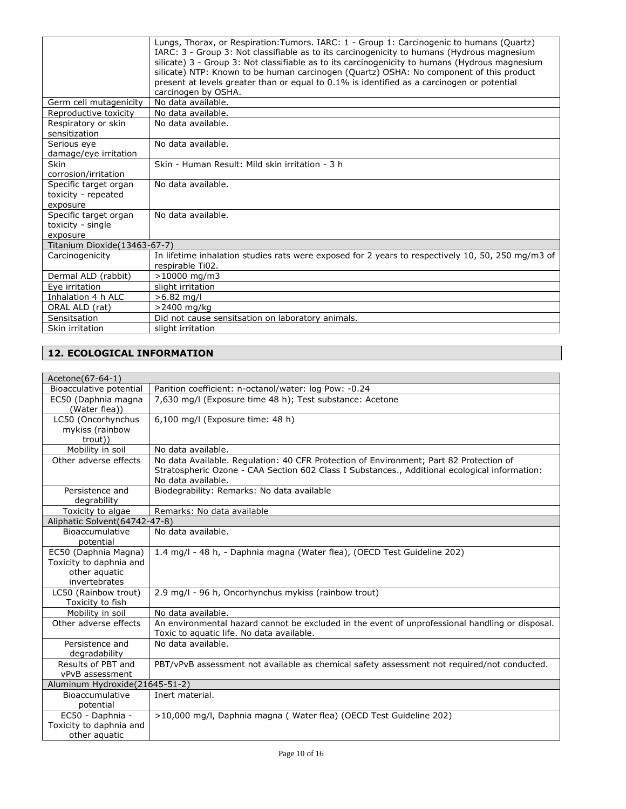|                                                        | Lungs, Thorax, or Respiration: Tumors. IARC: 1 - Group 1: Carcinogenic to humans (Quartz)<br>IARC: 3 - Group 3: Not classifiable as to its carcinogenicity to humans (Hydrous magnesium<br>silicate) 3 - Group 3: Not classifiable as to its carcinogenicity to humans (Hydrous magnesium<br>silicate) NTP: Known to be human carcinogen (Quartz) OSHA: No component of this product<br>present at levels greater than or equal to 0.1% is identified as a carcinogen or potential<br>carcinogen by OSHA. |
|--------------------------------------------------------|-----------------------------------------------------------------------------------------------------------------------------------------------------------------------------------------------------------------------------------------------------------------------------------------------------------------------------------------------------------------------------------------------------------------------------------------------------------------------------------------------------------|
| Germ cell mutagenicity                                 | No data available.                                                                                                                                                                                                                                                                                                                                                                                                                                                                                        |
| Reproductive toxicity                                  | No data available.                                                                                                                                                                                                                                                                                                                                                                                                                                                                                        |
| Respiratory or skin<br>sensitization                   | No data available.                                                                                                                                                                                                                                                                                                                                                                                                                                                                                        |
| Serious eye<br>damage/eye irritation                   | No data available.                                                                                                                                                                                                                                                                                                                                                                                                                                                                                        |
| Skin                                                   | Skin - Human Result: Mild skin irritation - 3 h                                                                                                                                                                                                                                                                                                                                                                                                                                                           |
| corrosion/irritation                                   |                                                                                                                                                                                                                                                                                                                                                                                                                                                                                                           |
| Specific target organ<br>toxicity - repeated           | No data available.                                                                                                                                                                                                                                                                                                                                                                                                                                                                                        |
| exposure                                               |                                                                                                                                                                                                                                                                                                                                                                                                                                                                                                           |
| Specific target organ<br>toxicity - single<br>exposure | No data available.                                                                                                                                                                                                                                                                                                                                                                                                                                                                                        |
| Titanium Dioxide (13463-67-7)                          |                                                                                                                                                                                                                                                                                                                                                                                                                                                                                                           |
| Carcinogenicity                                        | In lifetime inhalation studies rats were exposed for 2 years to respectively 10, 50, 250 mg/m3 of<br>respirable Ti02.                                                                                                                                                                                                                                                                                                                                                                                     |
| Dermal ALD (rabbit)                                    | >10000 mg/m3                                                                                                                                                                                                                                                                                                                                                                                                                                                                                              |
| Eye irritation                                         | slight irritation                                                                                                                                                                                                                                                                                                                                                                                                                                                                                         |
| Inhalation 4 h ALC                                     | $>6.82$ mg/l                                                                                                                                                                                                                                                                                                                                                                                                                                                                                              |
| ORAL ALD (rat)                                         | >2400 mg/kg                                                                                                                                                                                                                                                                                                                                                                                                                                                                                               |
| Sensitsation                                           | Did not cause sensitsation on laboratory animals.                                                                                                                                                                                                                                                                                                                                                                                                                                                         |
| Skin irritation                                        | slight irritation                                                                                                                                                                                                                                                                                                                                                                                                                                                                                         |

### **12. ECOLOGICAL INFORMATION**

| Acetone(67-64-1)                          |                                                                                                 |
|-------------------------------------------|-------------------------------------------------------------------------------------------------|
| Bioacculative potential                   | Parition coefficient: n-octanol/water: log Pow: -0.24                                           |
| EC50 (Daphnia magna                       | 7,630 mg/l (Exposure time 48 h); Test substance: Acetone                                        |
| (Water flea))                             |                                                                                                 |
| LC50 (Oncorhynchus                        | 6,100 mg/l (Exposure time: 48 h)                                                                |
| mykiss (rainbow                           |                                                                                                 |
| trout))                                   |                                                                                                 |
| Mobility in soil                          | No data available.                                                                              |
| Other adverse effects                     | No data Available. Regulation: 40 CFR Protection of Environment; Part 82 Protection of          |
|                                           | Stratospheric Ozone - CAA Section 602 Class I Substances., Additional ecological information:   |
|                                           | No data available.                                                                              |
| Persistence and                           | Biodegrability: Remarks: No data available                                                      |
| degrability                               |                                                                                                 |
| Toxicity to algae                         | Remarks: No data available                                                                      |
| Aliphatic Solvent (64742-47-8)            |                                                                                                 |
| Bioaccumulative                           | No data available.                                                                              |
| potential                                 |                                                                                                 |
| EC50 (Daphnia Magna)                      | 1.4 mg/l - 48 h, - Daphnia magna (Water flea), (OECD Test Guideline 202)                        |
| Toxicity to daphnia and                   |                                                                                                 |
| other aguatic                             |                                                                                                 |
| invertebrates                             |                                                                                                 |
| LC50 (Rainbow trout)                      | 2.9 mg/l - 96 h, Oncorhynchus mykiss (rainbow trout)                                            |
| Toxicity to fish                          |                                                                                                 |
| Mobility in soil<br>Other adverse effects | No data available.                                                                              |
|                                           | An environmental hazard cannot be excluded in the event of unprofessional handling or disposal. |
| Persistence and                           | Toxic to aquatic life. No data available.<br>No data available.                                 |
| degradability                             |                                                                                                 |
| Results of PBT and                        | PBT/vPvB assessment not available as chemical safety assessment not required/not conducted.     |
| vPvB assessment                           |                                                                                                 |
| Aluminum Hydroxide(21645-51-2)            |                                                                                                 |
| Bioaccumulative                           | Inert material.                                                                                 |
| potential                                 |                                                                                                 |
| EC50 - Daphnia -                          | >10,000 mg/l, Daphnia magna (Water flea) (OECD Test Guideline 202)                              |
| Toxicity to daphnia and                   |                                                                                                 |
| other aquatic                             |                                                                                                 |
|                                           |                                                                                                 |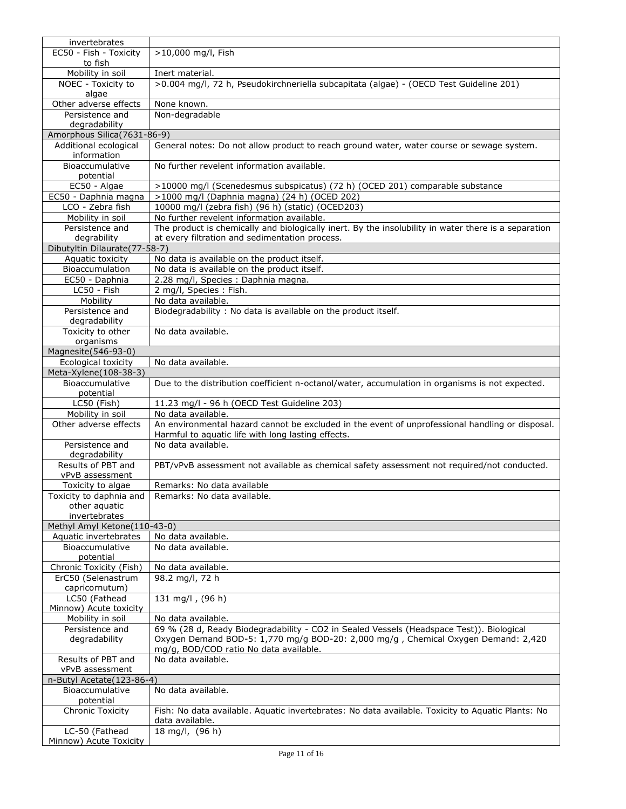| invertebrates                                         |                                                                                                      |
|-------------------------------------------------------|------------------------------------------------------------------------------------------------------|
| EC50 - Fish - Toxicity                                | >10,000 mg/l, Fish                                                                                   |
| to fish                                               |                                                                                                      |
| Mobility in soil                                      | Inert material.                                                                                      |
| NOEC - Toxicity to                                    | >0.004 mg/l, 72 h, Pseudokirchneriella subcapitata (algae) - (OECD Test Guideline 201)               |
| algae<br>Other adverse effects                        | None known.                                                                                          |
| Persistence and                                       | Non-degradable                                                                                       |
| degradability                                         |                                                                                                      |
| Amorphous Silica(7631-86-9)                           |                                                                                                      |
| Additional ecological                                 | General notes: Do not allow product to reach ground water, water course or sewage system.            |
| information                                           |                                                                                                      |
| Bioaccumulative                                       | No further revelent information available.                                                           |
| potential                                             |                                                                                                      |
| EC50 - Algae                                          | >10000 mg/l (Scenedesmus subspicatus) (72 h) (OCED 201) comparable substance                         |
| EC50 - Daphnia magna                                  | >1000 mg/l (Daphnia magna) (24 h) (OCED 202)                                                         |
| LCO - Zebra fish                                      | 10000 mg/l (zebra fish) (96 h) (static) (OCED203)                                                    |
| Mobility in soil                                      | No further revelent information available.                                                           |
| Persistence and                                       | The product is chemically and biologically inert. By the insolubility in water there is a separation |
| degrability                                           | at every filtration and sedimentation process.                                                       |
| Dibutyltin Dilaurate(77-58-7)<br>Aquatic toxicity     |                                                                                                      |
| Bioaccumulation                                       | No data is available on the product itself.<br>No data is available on the product itself.           |
| EC50 - Daphnia                                        | 2.28 mg/l, Species : Daphnia magna.                                                                  |
| LC50 - Fish                                           | 2 mg/l, Species: Fish.                                                                               |
| Mobility                                              | No data available.                                                                                   |
| Persistence and                                       | Biodegradability: No data is available on the product itself.                                        |
| degradability                                         |                                                                                                      |
| Toxicity to other                                     | No data available.                                                                                   |
| organisms                                             |                                                                                                      |
| Magnesite(546-93-0)                                   |                                                                                                      |
| Ecological toxicity                                   | No data available.                                                                                   |
| Meta-Xylene(108-38-3)                                 |                                                                                                      |
| Bioaccumulative                                       | Due to the distribution coefficient n-octanol/water, accumulation in organisms is not expected.      |
| potential                                             |                                                                                                      |
| LC50 (Fish)<br>Mobility in soil                       | 11.23 mg/l - 96 h (OECD Test Guideline 203)<br>No data available.                                    |
| Other adverse effects                                 | An environmental hazard cannot be excluded in the event of unprofessional handling or disposal.      |
|                                                       | Harmful to aquatic life with long lasting effects.                                                   |
| Persistence and                                       | No data available.                                                                                   |
| degradability                                         |                                                                                                      |
| Results of PBT and                                    | PBT/vPvB assessment not available as chemical safety assessment not required/not conducted.          |
| vPvB assessment                                       |                                                                                                      |
| Toxicity to algae                                     | Remarks: No data available                                                                           |
| Toxicity to daphnia and                               | Remarks: No data available.                                                                          |
| other aquatic                                         |                                                                                                      |
| invertebrates                                         |                                                                                                      |
| Methyl Amyl Ketone(110-43-0)<br>Aquatic invertebrates | No data available.                                                                                   |
| Bioaccumulative                                       | No data available.                                                                                   |
| potential                                             |                                                                                                      |
| Chronic Toxicity (Fish)                               | No data available.                                                                                   |
| ErC50 (Selenastrum                                    | 98.2 mg/l, 72 h                                                                                      |
| capricornutum)                                        |                                                                                                      |
| LC50 (Fathead                                         | 131 mg/l, $(96 h)$                                                                                   |
| Minnow) Acute toxicity                                |                                                                                                      |
| Mobility in soil                                      | No data available.                                                                                   |
| Persistence and                                       | 69 % (28 d, Ready Biodegradability - CO2 in Sealed Vessels (Headspace Test)). Biological             |
| degradability                                         | Oxygen Demand BOD-5: 1,770 mg/g BOD-20: 2,000 mg/g, Chemical Oxygen Demand: 2,420                    |
|                                                       | mg/g, BOD/COD ratio No data available.                                                               |
| Results of PBT and<br>vPvB assessment                 | No data available.                                                                                   |
| n-Butyl Acetate(123-86-4)                             |                                                                                                      |
| Bioaccumulative                                       | No data available.                                                                                   |
| potential                                             |                                                                                                      |
| <b>Chronic Toxicity</b>                               | Fish: No data available. Aquatic invertebrates: No data available. Toxicity to Aquatic Plants: No    |
|                                                       | data available.                                                                                      |
| LC-50 (Fathead                                        | 18 mg/l, (96 h)                                                                                      |
| Minnow) Acute Toxicity                                |                                                                                                      |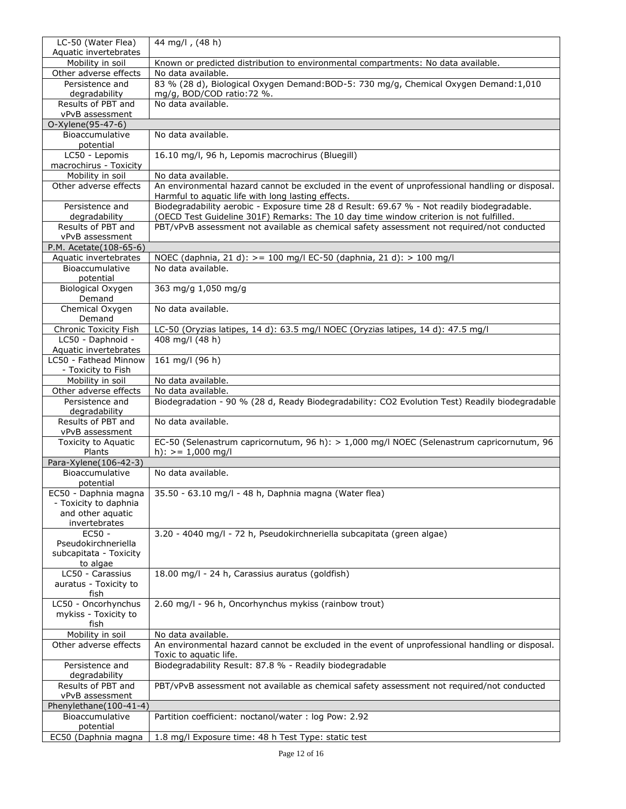| LC-50 (Water Flea)<br>Aquatic invertebrates   | 44 mg/l, (48 h)                                                                                                                                                                      |
|-----------------------------------------------|--------------------------------------------------------------------------------------------------------------------------------------------------------------------------------------|
| Mobility in soil                              | Known or predicted distribution to environmental compartments: No data available.                                                                                                    |
| Other adverse effects                         | No data available.                                                                                                                                                                   |
| Persistence and                               | 83 % (28 d), Biological Oxygen Demand: BOD-5: 730 mg/g, Chemical Oxygen Demand: 1,010                                                                                                |
| degradability                                 | mg/g, BOD/COD ratio: 72 %.                                                                                                                                                           |
| Results of PBT and                            | No data available.                                                                                                                                                                   |
| vPvB assessment<br>O-Xylene(95-47-6)          |                                                                                                                                                                                      |
| Bioaccumulative                               | No data available.                                                                                                                                                                   |
| potential                                     |                                                                                                                                                                                      |
| LC50 - Lepomis                                | 16.10 mg/l, 96 h, Lepomis macrochirus (Bluegill)                                                                                                                                     |
| macrochirus - Toxicity                        |                                                                                                                                                                                      |
| Mobility in soil<br>Other adverse effects     | No data available.<br>An environmental hazard cannot be excluded in the event of unprofessional handling or disposal.                                                                |
|                                               | Harmful to aquatic life with long lasting effects.                                                                                                                                   |
| Persistence and                               | Biodegradability aerobic - Exposure time 28 d Result: 69.67 % - Not readily biodegradable.                                                                                           |
| degradability<br>Results of PBT and           | (OECD Test Guideline 301F) Remarks: The 10 day time window criterion is not fulfilled.<br>PBT/vPvB assessment not available as chemical safety assessment not required/not conducted |
| vPvB assessment                               |                                                                                                                                                                                      |
| P.M. Acetate(108-65-6)                        |                                                                                                                                                                                      |
| Aquatic invertebrates                         | NOEC (daphnia, 21 d): > = 100 mg/l EC-50 (daphnia, 21 d): > 100 mg/l                                                                                                                 |
| Bioaccumulative                               | No data available.                                                                                                                                                                   |
| potential                                     | 363 mg/g 1,050 mg/g                                                                                                                                                                  |
| Biological Oxygen<br>Demand                   |                                                                                                                                                                                      |
| Chemical Oxygen<br>Demand                     | No data available.                                                                                                                                                                   |
| Chronic Toxicity Fish                         | LC-50 (Oryzias latipes, 14 d): 63.5 mg/l NOEC (Oryzias latipes, 14 d): 47.5 mg/l                                                                                                     |
| LC50 - Daphnoid -                             | 408 mg/l (48 h)                                                                                                                                                                      |
| Aquatic invertebrates                         |                                                                                                                                                                                      |
| LC50 - Fathead Minnow                         | 161 mg/l (96 h)                                                                                                                                                                      |
| - Toxicity to Fish<br>Mobility in soil        | No data available.                                                                                                                                                                   |
| Other adverse effects                         | No data available.                                                                                                                                                                   |
| Persistence and                               | Biodegradation - 90 % (28 d, Ready Biodegradability: CO2 Evolution Test) Readily biodegradable                                                                                       |
| degradability                                 |                                                                                                                                                                                      |
| Results of PBT and<br>vPvB assessment         | No data available.                                                                                                                                                                   |
| Toxicity to Aquatic                           | EC-50 (Selenastrum capricornutum, 96 h): > 1,000 mg/l NOEC (Selenastrum capricornutum, 96                                                                                            |
| Plants                                        | h): $> = 1,000$ mg/l                                                                                                                                                                 |
| Para-Xylene(106-42-3)                         |                                                                                                                                                                                      |
| Bioaccumulative                               | No data available.                                                                                                                                                                   |
| potential                                     | EC50 - Daphnia magna   35.50 - 63.10 mg/l - 48 h, Daphnia magna (Water flea)                                                                                                         |
| - Toxicity to daphnia                         |                                                                                                                                                                                      |
| and other aquatic                             |                                                                                                                                                                                      |
| invertebrates                                 |                                                                                                                                                                                      |
| $EC50 -$                                      | 3.20 - 4040 mg/l - 72 h, Pseudokirchneriella subcapitata (green algae)                                                                                                               |
| Pseudokirchneriella<br>subcapitata - Toxicity |                                                                                                                                                                                      |
| to algae                                      |                                                                                                                                                                                      |
| LC50 - Carassius                              | 18.00 mg/l - 24 h, Carassius auratus (goldfish)                                                                                                                                      |
| auratus - Toxicity to                         |                                                                                                                                                                                      |
| fish<br>LC50 - Oncorhynchus                   | 2.60 mg/l - 96 h, Oncorhynchus mykiss (rainbow trout)                                                                                                                                |
| mykiss - Toxicity to                          |                                                                                                                                                                                      |
| fish                                          |                                                                                                                                                                                      |
| Mobility in soil                              | No data available.                                                                                                                                                                   |
| Other adverse effects                         | An environmental hazard cannot be excluded in the event of unprofessional handling or disposal.<br>Toxic to aquatic life.                                                            |
| Persistence and                               | Biodegradability Result: 87.8 % - Readily biodegradable                                                                                                                              |
| degradability                                 |                                                                                                                                                                                      |
| Results of PBT and                            | PBT/vPvB assessment not available as chemical safety assessment not required/not conducted                                                                                           |
| vPvB assessment<br>Phenylethane(100-41-4)     |                                                                                                                                                                                      |
| Bioaccumulative                               |                                                                                                                                                                                      |
|                                               |                                                                                                                                                                                      |
| potential<br>EC50 (Daphnia magna              | Partition coefficient: noctanol/water: log Pow: 2.92<br>1.8 mg/l Exposure time: 48 h Test Type: static test                                                                          |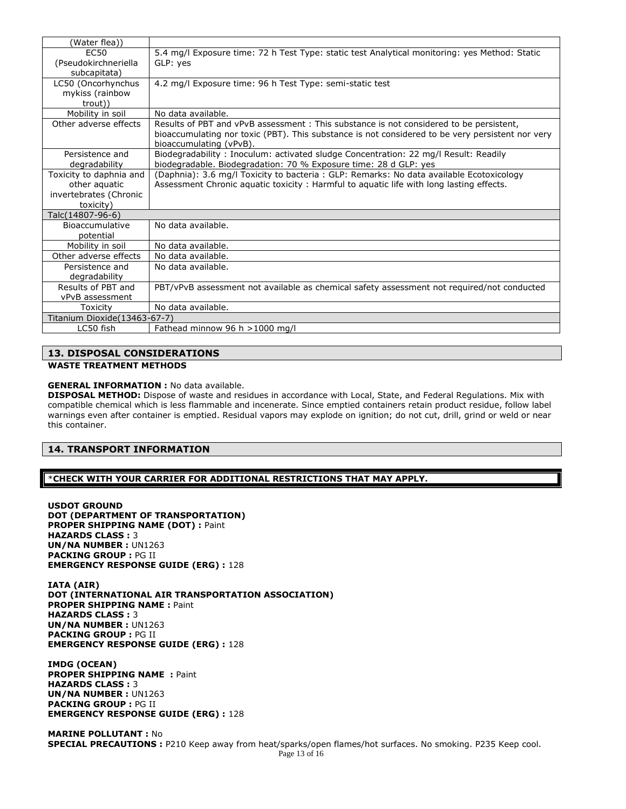| (Water flea))                       |                                                                                                                                                                                                                       |
|-------------------------------------|-----------------------------------------------------------------------------------------------------------------------------------------------------------------------------------------------------------------------|
| <b>EC50</b><br>(Pseudokirchneriella | 5.4 mg/l Exposure time: 72 h Test Type: static test Analytical monitoring: yes Method: Static<br>GLP: yes                                                                                                             |
| subcapitata)                        |                                                                                                                                                                                                                       |
| LC50 (Oncorhynchus                  | 4.2 mg/l Exposure time: 96 h Test Type: semi-static test                                                                                                                                                              |
| mykiss (rainbow<br>trout))          |                                                                                                                                                                                                                       |
| Mobility in soil                    | No data available.                                                                                                                                                                                                    |
| Other adverse effects               | Results of PBT and vPvB assessment: This substance is not considered to be persistent,<br>bioaccumulating nor toxic (PBT). This substance is not considered to be very persistent nor very<br>bioaccumulating (vPvB). |
| Persistence and                     | Biodegradability: Inoculum: activated sludge Concentration: 22 mg/l Result: Readily                                                                                                                                   |
| degradability                       | biodegradable. Biodegradation: 70 % Exposure time: 28 d GLP: yes                                                                                                                                                      |
| Toxicity to daphnia and             | (Daphnia): 3.6 mg/l Toxicity to bacteria: GLP: Remarks: No data available Ecotoxicology                                                                                                                               |
| other aquatic                       | Assessment Chronic aquatic toxicity: Harmful to aquatic life with long lasting effects.                                                                                                                               |
| invertebrates (Chronic              |                                                                                                                                                                                                                       |
| toxicity)                           |                                                                                                                                                                                                                       |
| Talc(14807-96-6)                    |                                                                                                                                                                                                                       |
| Bioaccumulative                     | No data available.                                                                                                                                                                                                    |
| potential                           |                                                                                                                                                                                                                       |
| Mobility in soil                    | No data available.                                                                                                                                                                                                    |
| Other adverse effects               | No data available.                                                                                                                                                                                                    |
| Persistence and                     | No data available.                                                                                                                                                                                                    |
| degradability                       |                                                                                                                                                                                                                       |
| Results of PBT and                  | PBT/vPvB assessment not available as chemical safety assessment not required/not conducted                                                                                                                            |
| vPvB assessment                     |                                                                                                                                                                                                                       |
| Toxicitv                            | No data available.                                                                                                                                                                                                    |
| Titanium Dioxide(13463-67-7)        |                                                                                                                                                                                                                       |
| LC50 fish                           | Fathead minnow 96 h $>$ 1000 mg/l                                                                                                                                                                                     |

### **13. DISPOSAL CONSIDERATIONS WASTE TREATMENT METHODS**

#### **GENERAL INFORMATION :** No data available.

**DISPOSAL METHOD:** Dispose of waste and residues in accordance with Local, State, and Federal Regulations. Mix with compatible chemical which is less flammable and incenerate. Since emptied containers retain product residue, follow label warnings even after container is emptied. Residual vapors may explode on ignition; do not cut, drill, grind or weld or near this container.

### **14. TRANSPORT INFORMATION**

### \***CHECK WITH YOUR CARRIER FOR ADDITIONAL RESTRICTIONS THAT MAY APPLY.**

**USDOT GROUND DOT (DEPARTMENT OF TRANSPORTATION) PROPER SHIPPING NAME (DOT) :** Paint **HAZARDS CLASS :** 3 **UN/NA NUMBER :** UN1263 **PACKING GROUP :** PG II **EMERGENCY RESPONSE GUIDE (ERG) :** 128

**IATA (AIR) DOT (INTERNATIONAL AIR TRANSPORTATION ASSOCIATION) PROPER SHIPPING NAME :** Paint **HAZARDS CLASS :** 3 **UN/NA NUMBER :** UN1263 **PACKING GROUP :** PG II **EMERGENCY RESPONSE GUIDE (ERG) :** 128

**IMDG (OCEAN) PROPER SHIPPING NAME : Paint HAZARDS CLASS :** 3 **UN/NA NUMBER :** UN1263 **PACKING GROUP :** PG II **EMERGENCY RESPONSE GUIDE (ERG) :** 128

**MARINE POLLUTANT :** No **SPECIAL PRECAUTIONS :** P210 Keep away from heat/sparks/open flames/hot surfaces. No smoking. P235 Keep cool.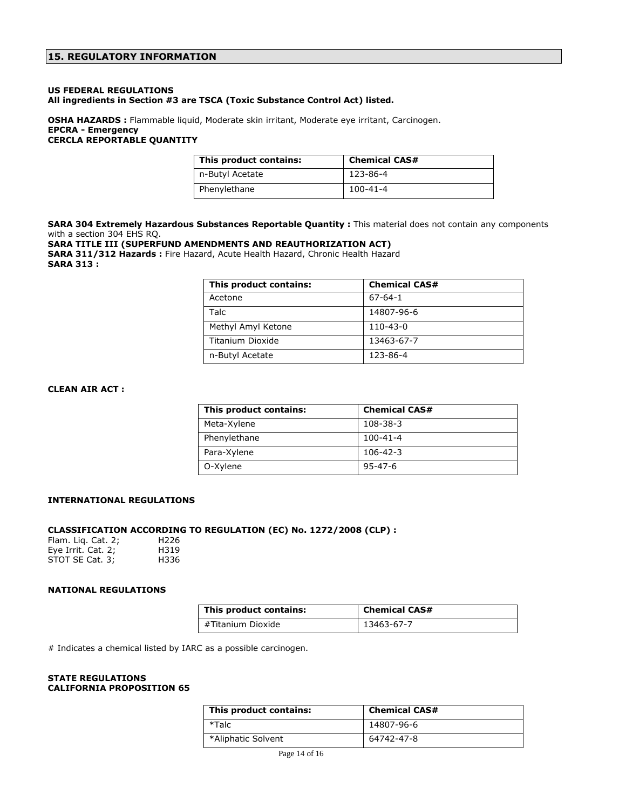### **US FEDERAL REGULATIONS All ingredients in Section #3 are TSCA (Toxic Substance Control Act) listed.**

### **OSHA HAZARDS :** Flammable liquid, Moderate skin irritant, Moderate eye irritant, Carcinogen. **EPCRA - Emergency CERCLA REPORTABLE QUANTITY**

| This product contains: | <b>Chemical CAS#</b> |
|------------------------|----------------------|
| n-Butyl Acetate        | 123-86-4             |
| Phenylethane           | 100-41-4             |

SARA 304 Extremely Hazardous Substances Reportable Quantity : This material does not contain any components with a section 304 EHS RQ.

### **SARA TITLE III (SUPERFUND AMENDMENTS AND REAUTHORIZATION ACT) SARA 311/312 Hazards :** Fire Hazard, Acute Health Hazard, Chronic Health Hazard

**SARA 313 :**

| This product contains: | <b>Chemical CAS#</b> |
|------------------------|----------------------|
| Acetone                | $67 - 64 - 1$        |
| Talc                   | 14807-96-6           |
| Methyl Amyl Ketone     | 110-43-0             |
| Titanium Dioxide       | 13463-67-7           |
| n-Butyl Acetate        | 123-86-4             |

### **CLEAN AIR ACT :**

| This product contains: | <b>Chemical CAS#</b> |
|------------------------|----------------------|
| Meta-Xylene            | 108-38-3             |
| Phenylethane           | $100 - 41 - 4$       |
| Para-Xylene            | $106 - 42 - 3$       |
| O-Xylene               | $95 - 47 - 6$        |

### **INTERNATIONAL REGULATIONS**

### **CLASSIFICATION ACCORDING TO REGULATION (EC) No. 1272/2008 (CLP) :**

| Flam. Liq. Cat. 2; | H <sub>226</sub> |
|--------------------|------------------|
| Eye Irrit. Cat. 2; | H319             |
| STOT SE Cat. 3;    | H336             |

### **NATIONAL REGULATIONS**

| This product contains: | <b>Chemical CAS#</b> |
|------------------------|----------------------|
| #Titanium Dioxide      | 13463-67-7           |

# Indicates a chemical listed by IARC as a possible carcinogen.

#### **STATE REGULATIONS CALIFORNIA PROPOSITION 65**

| This product contains: | <b>Chemical CAS#</b> |
|------------------------|----------------------|
| *Talc                  | 14807-96-6           |
| *Aliphatic Solvent     | 64742-47-8           |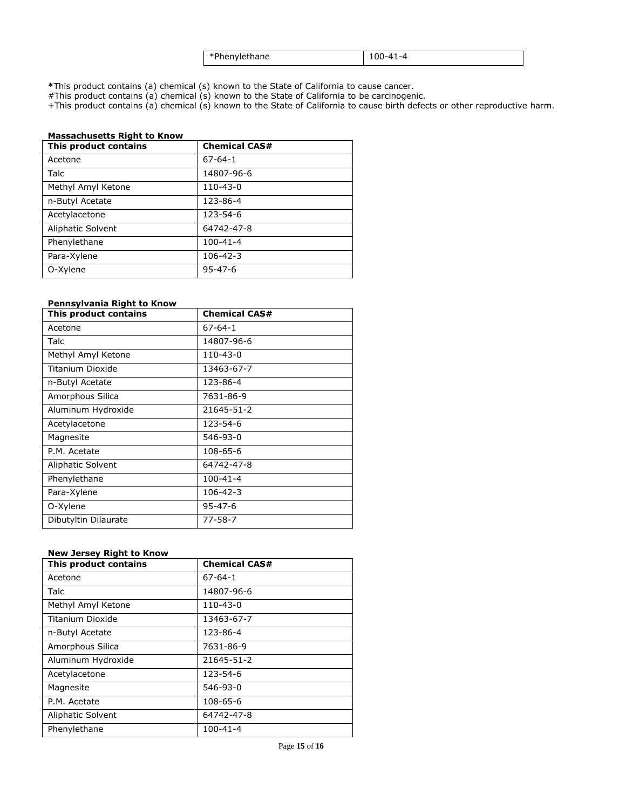| *Phenylethane | $100 - 41 - 4$ |
|---------------|----------------|
|---------------|----------------|

**\***This product contains (a) chemical (s) known to the State of California to cause cancer.

#This product contains (a) chemical (s) known to the State of California to be carcinogenic.

+This product contains (a) chemical (s) known to the State of California to cause birth defects or other reproductive harm.

| <b>Massachusetts Right to Know</b> |                      |  |
|------------------------------------|----------------------|--|
| This product contains              | <b>Chemical CAS#</b> |  |
| Acetone                            | $67 - 64 - 1$        |  |
| Talc                               | 14807-96-6           |  |
| Methyl Amyl Ketone                 | $110 - 43 - 0$       |  |
| n-Butyl Acetate                    | 123-86-4             |  |
| Acetylacetone                      | 123-54-6             |  |
| Aliphatic Solvent                  | 64742-47-8           |  |
| Phenylethane                       | $100 - 41 - 4$       |  |
| Para-Xylene                        | $106 - 42 - 3$       |  |
| O-Xylene                           | $95 - 47 - 6$        |  |

### **Pennsylvania Right to Know**

| This product contains | <b>Chemical CAS#</b> |
|-----------------------|----------------------|
| Acetone               | $67 - 64 - 1$        |
| Talc                  | 14807-96-6           |
| Methyl Amyl Ketone    | 110-43-0             |
| Titanium Dioxide      | 13463-67-7           |
| n-Butyl Acetate       | 123-86-4             |
| Amorphous Silica      | 7631-86-9            |
| Aluminum Hydroxide    | 21645-51-2           |
| Acetylacetone         | 123-54-6             |
| Magnesite             | 546-93-0             |
| P.M. Acetate          | 108-65-6             |
| Aliphatic Solvent     | 64742-47-8           |
| Phenylethane          | 100-41-4             |
| Para-Xylene           | 106-42-3             |
| O-Xylene              | $95 - 47 - 6$        |
| Dibutyltin Dilaurate  | 77-58-7              |

### **New Jersey Right to Know**

| This product contains | <b>Chemical CAS#</b> |
|-----------------------|----------------------|
| Acetone               | $67 - 64 - 1$        |
| Talc                  | 14807-96-6           |
| Methyl Amyl Ketone    | 110-43-0             |
| Titanium Dioxide      | 13463-67-7           |
| n-Butyl Acetate       | 123-86-4             |
| Amorphous Silica      | 7631-86-9            |
| Aluminum Hydroxide    | 21645-51-2           |
| Acetylacetone         | 123-54-6             |
| Magnesite             | 546-93-0             |
| P.M. Acetate          | 108-65-6             |
| Aliphatic Solvent     | 64742-47-8           |
| Phenylethane          | $100 - 41 - 4$       |